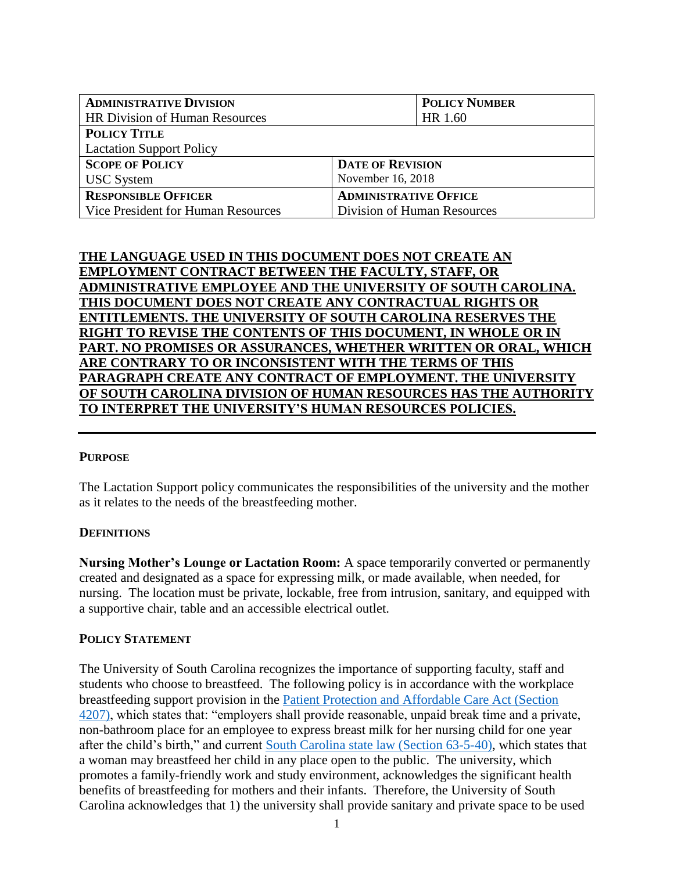| <b>ADMINISTRATIVE DIVISION</b>        | <b>POLICY NUMBER</b>         |
|---------------------------------------|------------------------------|
| <b>HR Division of Human Resources</b> | HR 1.60                      |
| <b>POLICY TITLE</b>                   |                              |
| <b>Lactation Support Policy</b>       |                              |
| <b>SCOPE OF POLICY</b>                | <b>DATE OF REVISION</b>      |
| <b>USC</b> System                     | November 16, 2018            |
| <b>RESPONSIBLE OFFICER</b>            | <b>ADMINISTRATIVE OFFICE</b> |
| Vice President for Human Resources    | Division of Human Resources  |

# **THE LANGUAGE USED IN THIS DOCUMENT DOES NOT CREATE AN EMPLOYMENT CONTRACT BETWEEN THE FACULTY, STAFF, OR ADMINISTRATIVE EMPLOYEE AND THE UNIVERSITY OF SOUTH CAROLINA. THIS DOCUMENT DOES NOT CREATE ANY CONTRACTUAL RIGHTS OR ENTITLEMENTS. THE UNIVERSITY OF SOUTH CAROLINA RESERVES THE RIGHT TO REVISE THE CONTENTS OF THIS DOCUMENT, IN WHOLE OR IN PART. NO PROMISES OR ASSURANCES, WHETHER WRITTEN OR ORAL, WHICH ARE CONTRARY TO OR INCONSISTENT WITH THE TERMS OF THIS PARAGRAPH CREATE ANY CONTRACT OF EMPLOYMENT. THE UNIVERSITY OF SOUTH CAROLINA DIVISION OF HUMAN RESOURCES HAS THE AUTHORITY TO INTERPRET THE UNIVERSITY'S HUMAN RESOURCES POLICIES.**

### **PURPOSE**

The Lactation Support policy communicates the responsibilities of the university and the mother as it relates to the needs of the breastfeeding mother.

### **DEFINITIONS**

**Nursing Mother's Lounge or Lactation Room:** A space temporarily converted or permanently created and designated as a space for expressing milk, or made available, when needed, for nursing. The location must be private, lockable, free from intrusion, sanitary, and equipped with a supportive chair, table and an accessible electrical outlet.

#### **POLICY STATEMENT**

The University of South Carolina recognizes the importance of supporting faculty, staff and students who choose to breastfeed. The following policy is in accordance with the workplace breastfeeding support provision in the [Patient Protection and Affordable Care Act \(Section](https://www.congress.gov/111/plaws/publ148/PLAW-111publ148.pdf)  [4207\),](https://www.congress.gov/111/plaws/publ148/PLAW-111publ148.pdf) which states that: "employers shall provide reasonable, unpaid break time and a private, non-bathroom place for an employee to express breast milk for her nursing child for one year after the child's birth," and current [South Carolina state law \(Section 63-5-40\),](https://www.scstatehouse.gov/code/t63c005.php) which states that a woman may breastfeed her child in any place open to the public. The university, which promotes a family-friendly work and study environment, acknowledges the significant health benefits of breastfeeding for mothers and their infants. Therefore, the University of South Carolina acknowledges that 1) the university shall provide sanitary and private space to be used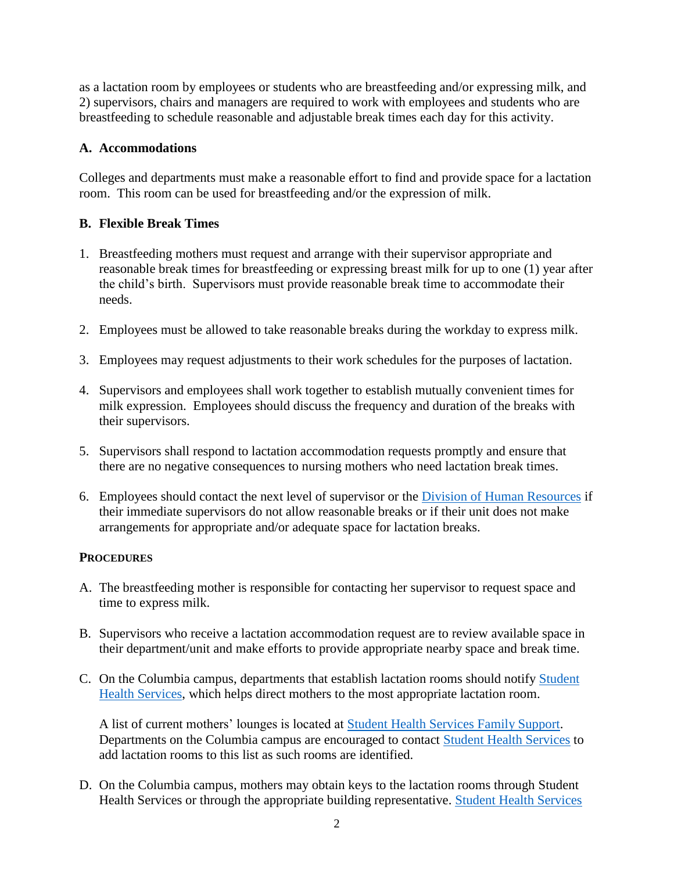as a lactation room by employees or students who are breastfeeding and/or expressing milk, and 2) supervisors, chairs and managers are required to work with employees and students who are breastfeeding to schedule reasonable and adjustable break times each day for this activity.

# **A. Accommodations**

Colleges and departments must make a reasonable effort to find and provide space for a lactation room. This room can be used for breastfeeding and/or the expression of milk.

### **B. Flexible Break Times**

- 1. Breastfeeding mothers must request and arrange with their supervisor appropriate and reasonable break times for breastfeeding or expressing breast milk for up to one (1) year after the child's birth. Supervisors must provide reasonable break time to accommodate their needs.
- 2. Employees must be allowed to take reasonable breaks during the workday to express milk.
- 3. Employees may request adjustments to their work schedules for the purposes of lactation.
- 4. Supervisors and employees shall work together to establish mutually convenient times for milk expression. Employees should discuss the frequency and duration of the breaks with their supervisors.
- 5. Supervisors shall respond to lactation accommodation requests promptly and ensure that there are no negative consequences to nursing mothers who need lactation break times.
- 6. Employees should contact the next level of supervisor or the Division of [Human Resources](https://www.sc.edu/about/offices_and_divisions/human_resources/) if their immediate supervisors do not allow reasonable breaks or if their unit does not make arrangements for appropriate and/or adequate space for lactation breaks.

### **PROCEDURES**

- A. The breastfeeding mother is responsible for contacting her supervisor to request space and time to express milk.
- B. Supervisors who receive a lactation accommodation request are to review available space in their department/unit and make efforts to provide appropriate nearby space and break time.
- C. On the Columbia campus, departments that establish lactation rooms should notify [Student](https://sc.edu/about/offices_and_divisions/student_health_services/index.php)  [Health Services,](https://sc.edu/about/offices_and_divisions/student_health_services/index.php) which helps direct mothers to the most appropriate lactation room.

A list of current mothers' lounges is located at [Student Health Services Family Support.](https://sc.edu/about/offices_and_divisions/student_health_services/wellness-prevention/family-support/index.php) Departments on the Columbia campus are encouraged to contact [Student Health Services](https://sc.edu/about/offices_and_divisions/student_health_services/index.php) to add lactation rooms to this list as such rooms are identified.

D. On the Columbia campus, mothers may obtain keys to the lactation rooms through Student Health Services or through the appropriate building representative. [Student Health Services](https://sc.edu/about/offices_and_divisions/student_health_services/index.php)